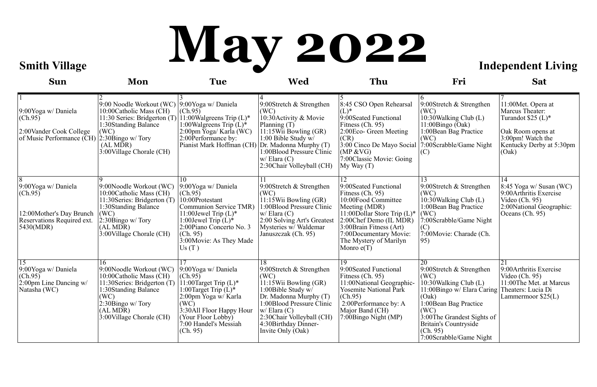# **Smith Village May 2022** Independent Living

| <b>Sun</b>                                                                                                             | Mon                                                                                                                                                                                   | <b>Tue</b>                                                                                                                                                                                                           | <b>Wed</b>                                                                                                                                                                                                                                 | Thu                                                                                                                                                                                                                                                    | Fri                                                                                                                                                                                                                                     | <b>Sat</b>                                                                                                                                   |
|------------------------------------------------------------------------------------------------------------------------|---------------------------------------------------------------------------------------------------------------------------------------------------------------------------------------|----------------------------------------------------------------------------------------------------------------------------------------------------------------------------------------------------------------------|--------------------------------------------------------------------------------------------------------------------------------------------------------------------------------------------------------------------------------------------|--------------------------------------------------------------------------------------------------------------------------------------------------------------------------------------------------------------------------------------------------------|-----------------------------------------------------------------------------------------------------------------------------------------------------------------------------------------------------------------------------------------|----------------------------------------------------------------------------------------------------------------------------------------------|
| 9:00Yoga w/Daniela<br>(Ch.95)<br>2:00 Vander Cook College<br>of Music Performance ( $\overline{CH}$ ) 2:30Bingo w/Tory | 9:00 Noodle Workout (WC) 9:00Yoga w/ Daniela<br>10:00 Catholic Mass (CH)<br>11:30 Series: Bridgerton (T)<br>1:30Standing Balance<br>(WC)<br>(AL MDR)<br>3:00 Village Chorale (CH)     | (Ch.95)<br>11:00 Walgreens Trip $(L)^*$<br>1:00 Walgreens Trip $(L)^*$<br>2:00pm Yoga/ Karla (WC)<br>2:00 Performance by:<br>Pianist Mark Hoffman (CH)                                                               | 9:00Stretch $&$ Strengthen<br>(WC)<br>10:30 Activity & Movie<br>Planning $(T)$<br>$11:15$ Wii Bowling (GR)<br>1:00 Bible Study w/<br>Dr. Madonna Murphy (T)<br>1:00Blood Pressure Clinic<br>$w/$ Elara $(C)$<br>2:30 Chair Volleyball (CH) | 8:45 CSO Open Rehearsal<br>$(L)^*$<br>9:00Seated Functional<br>Fitness (Ch. 95)<br>2:00 Eco- Green Meeting<br>(CR)<br>3:00 Cinco De Mayo Social<br>(MP & VG)<br>7:00Classic Movie: Going<br>$My$ Way $(T)$                                             | 9:00Stretch $&$ Strengthen<br>(WC)<br>10:30 Walking Club (L)<br>11:00Bingo (Oak)<br>1:00 Bean Bag Practice<br>(WC)<br>7:00Scrabble/Game Night<br>(C)                                                                                    | 11:00 Met. Opera at<br>Marcus Theater:<br>Turandot $$25 (L)*$<br>Oak Room opens at<br>3:00pm! Watch the<br>Kentucky Derby at 5:30pm<br>(Oak) |
| 9:00Yoga w/Daniela<br>(Ch.95)<br>12:00Mother's Day Brunch<br>Reservations Required ext.<br>5430(MDR)                   | 9:00Noodle Workout (WC)<br>10:00Catholic Mass (CH)<br>11:30 Series: Bridgerton (T)<br>1:30Standing Balance<br>(WC)<br>$ 2:30$ Bingo w/Tory<br>(AL MDR)<br>3:00 Village Chorale (CH)   | 10<br>9:00Yoga w/Daniela<br>(Ch.95)<br>10:00Protestant<br>Communion Service TMR)<br>11:00 Jewel Trip $(L)^*$<br>1:00 Jewel Trip $(L)^*$<br>2:00Piano Concerto No. 3<br>(Ch. 95)<br>3:00 Movie: As They Made<br>Us(T) | 9:00Stretch $&$ Strengthen<br>(WC)<br>11:15 Wii Bowling (GR)<br>1:00Blood Pressure Clinic<br>$w/$ Elara $(C)$<br>2:00 Solving Art's Greatest<br>Mysteries w/ Waldemar<br>Januszczak (Ch. 95)                                               | 12<br>9:00Seated Functional<br>Fitness $(Ch. 95)$<br>10:00Food Committee<br>Meeting (MDR)<br>11:00 Dollar Store Trip $(L)^*$<br>2:00Chef Demo (IL MDR)<br>3:00 Brain Fitness (Art)<br>7:00Documentary Movie:<br>The Mystery of Marilyn<br>Monro $e(T)$ | 13<br>9:00Stretch $&$ Strengthen<br>(WC)<br>10:30 Walking Club (L)<br>1:00 Bean Bag Practice<br>(WC)<br>7:00Scrabble/Game Night<br>(C)<br>7:00 Movie: Charade (Ch.<br>95)                                                               | 14<br>8:45 Yoga w/ Susan (WC)<br>9:00 Arthritis Exercise<br>Video (Ch. 95)<br>2:00National Geographic:<br>Oceans (Ch. 95)                    |
| 15<br>9:00Yoga w/Daniela<br>(Ch.95)<br>2:00pm Line Dancing w/<br>Natasha (WC)                                          | 16<br>9:00Noodle Workout (WC)<br>10:00 Catholic Mass (CH)<br>11:30 Series: Bridgerton (T)<br>1:30Standing Balance<br>(WC)<br>2:30Bingo w/Tory<br>(ALMDR)<br>3:00 Village Chorale (CH) | 9:00Yoga w/Daniela<br>(Ch.95)<br>11:00Target Trip $(L)^*$<br>1:00 Target Trip $(L)^*$<br>2:00pm Yoga w/ Karla<br>(WC)<br>3:30All Floor Happy Hour<br>(Your Floor Lobby)<br>7:00 Handel's Messiah<br>(Ch. 95)         | 9:00Stretch & Strengthen<br>(WC)<br>11:15 Wii Bowling (GR)<br>1:00Bible Study $w/$<br>Dr. Madonna Murphy (T)<br>1:00Blood Pressure Clinic<br>$w/$ Elara $(C)$<br>2:30 Chair Volleyball (CH)<br>4:30 Birthday Dinner-<br>Invite Only (Oak)  | 19<br>9:00Seated Functional<br>Fitness (Ch. 95)<br>11:00National Geographic-<br><b>Yosemite National Park</b><br>(Ch.95)<br>2:00Performance by: A<br>Major Band (CH)<br>7:00Bingo Night (MP)                                                           | 20<br>9:00Stretch & Strengthen<br>(WC)<br>10:30 Walking Club (L)<br>11:00Bingo w/ Elara Caring<br>(Oak)<br>1:00 Bean Bag Practice<br>(WC)<br>3:00The Grandest Sights of<br>Britain's Countryside<br>(Ch. 95)<br>7:00Scrabble/Game Night | 21<br>9:00 Arthritis Exercise<br>Video (Ch. 95)<br>11:00The Met. at Marcus<br>Theaters: Lucia Di<br>Lammermoor $$25(L)$                      |